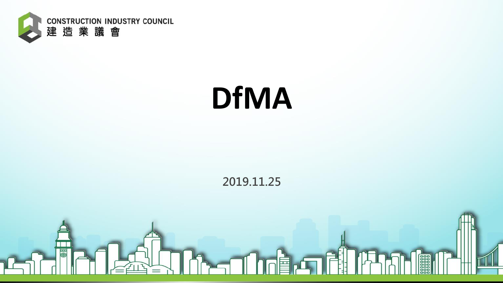

## **DfMA**

#### **2019.11.25**

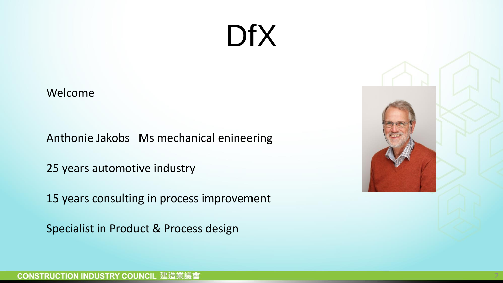Welcome

Anthonie Jakobs Ms mechanical enineering

25 years automotive industry

15 years consulting in process improvement

Specialist in Product & Process design

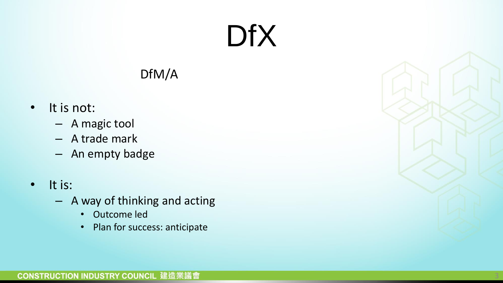#### DfM/A

- It is not:
	- A magic tool
	- A trade mark
	- An empty badge
- It is:
	- A way of thinking and acting
		- Outcome led
		- Plan for success: anticipate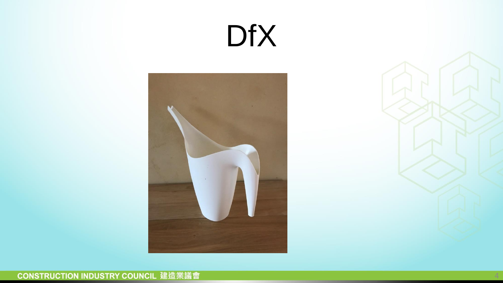



4

#### **CONSTRUCTION INDUSTRY COUNCIL 建造業議會**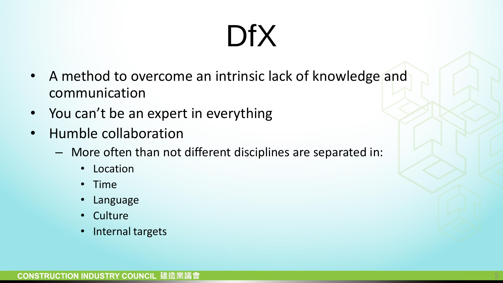- A method to overcome an intrinsic lack of knowledge and communication
- You can't be an expert in everything
- Humble collaboration
	- More often than not different disciplines are separated in:
		- Location
		- Time
		- Language
		- Culture
		- Internal targets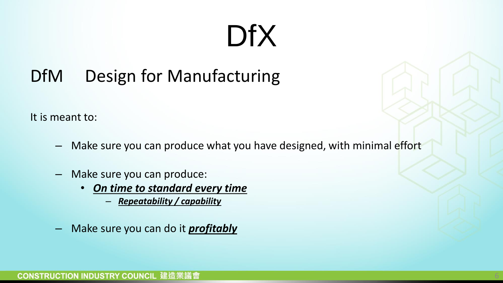#### DfM Design for Manufacturing

It is meant to:

- Make sure you can produce what you have designed, with minimal effort
- Make sure you can produce:
	- *On time to standard every time*
		- *Repeatability / capability*
- Make sure you can do it *profitably*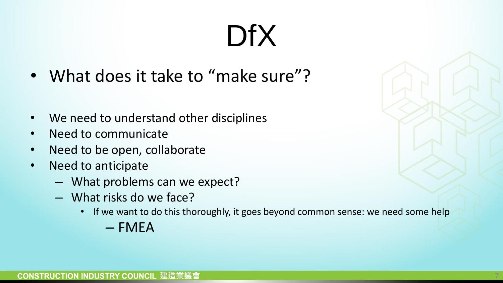- What does it take to "make sure"?
- We need to understand other disciplines
- Need to communicate
- Need to be open, collaborate
- Need to anticipate
	- What problems can we expect?
	- What risks do we face?
		- If we want to do this thoroughly, it goes beyond common sense: we need some help
			- $-$  FMFA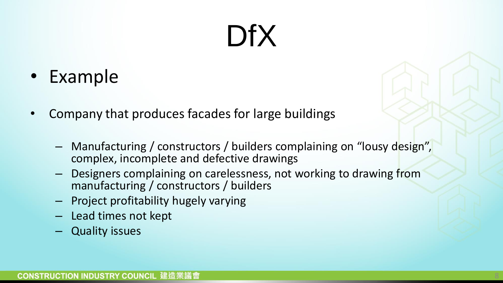- Example
- Company that produces facades for large buildings
	- Manufacturing / constructors / builders complaining on "lousy design", complex, incomplete and defective drawings
	- Designers complaining on carelessness, not working to drawing from manufacturing / constructors / builders
	- Project profitability hugely varying
	- Lead times not kept
	- Quality issues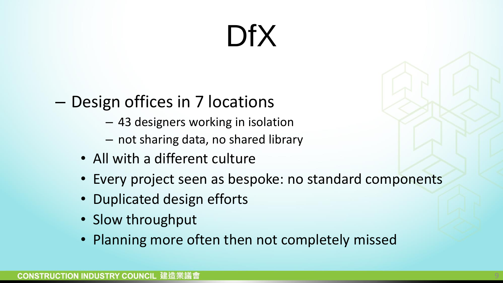#### – Design offices in 7 locations

- 43 designers working in isolation
- not sharing data, no shared library
- All with a different culture
- Every project seen as bespoke: no standard components
- Duplicated design efforts
- Slow throughput
- Planning more often then not completely missed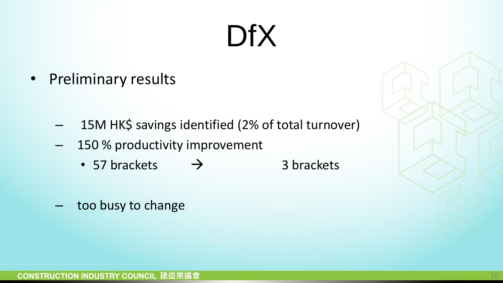• Preliminary results

- 15M HK\$ savings identified (2% of total turnover)
- 150 % productivity improvement
	- 57 brackets  $\rightarrow$  3 brackets
- too busy to change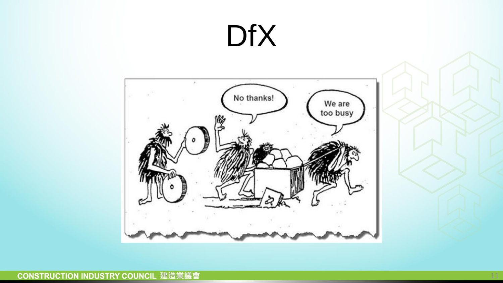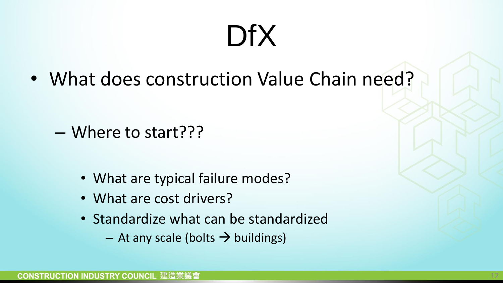• What does construction Value Chain need?

– Where to start???

- What are typical failure modes?
- What are cost drivers?
- Standardize what can be standardized
	- $-$  At any scale (bolts  $\rightarrow$  buildings)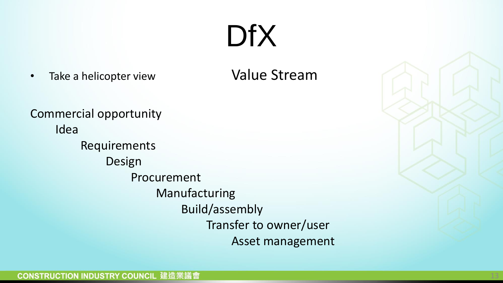• Take a helicopter view **Value Stream** 

Commercial opportunity Idea Requirements Design Procurement Manufacturing Build/assembly Transfer to owner/user Asset management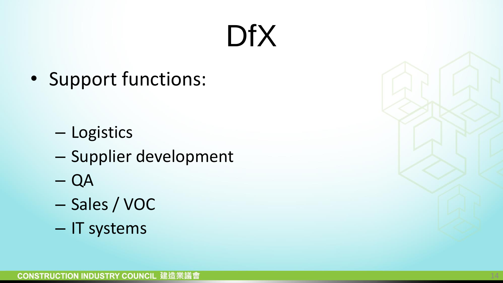• Support functions:

- Logistics
- Supplier development
- QA
- Sales / VOC
- IT systems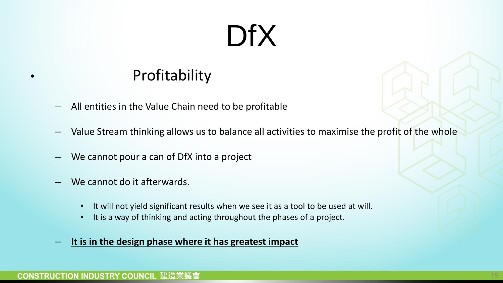#### **Profitability**

- All entities in the Value Chain need to be profitable
- Value Stream thinking allows us to balance all activities to maximise the profit of the whole
- We cannot pour a can of DfX into a project
- We cannot do it afterwards.
	- It will not yield significant results when we see it as a tool to be used at will.
	- It is a way of thinking and acting throughout the phases of a project.
- **It is in the design phase where it has greatest impact**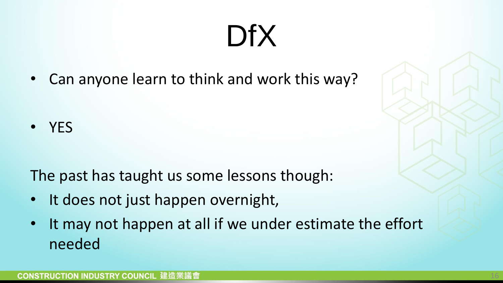• Can anyone learn to think and work this way?

• YES

The past has taught us some lessons though:

- It does not just happen overnight,
- It may not happen at all if we under estimate the effort needed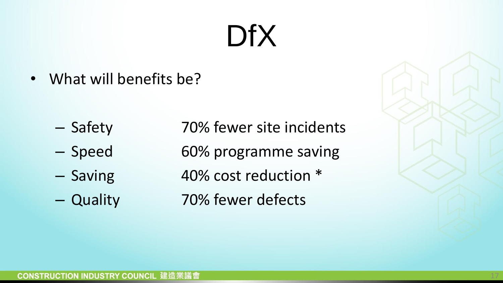• What will benefits be?

- 
- 
- 
- 

– Safety 70% fewer site incidents – Speed 60% programme saving – Saving 40% cost reduction \* – Quality 70% fewer defects

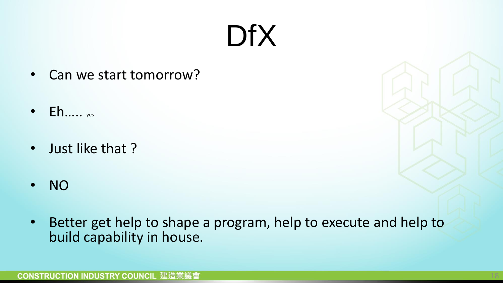- Can we start tomorrow?
- $\bullet$  Eh….. yes
- Just like that ?
- NO
- Better get help to shape a program, help to execute and help to build capability in house.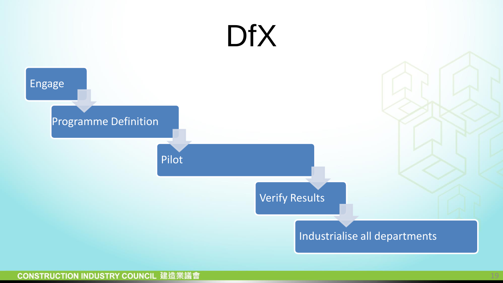

#### **CONSTRUCTION INDUSTRY COUNCIL 建造業議會**